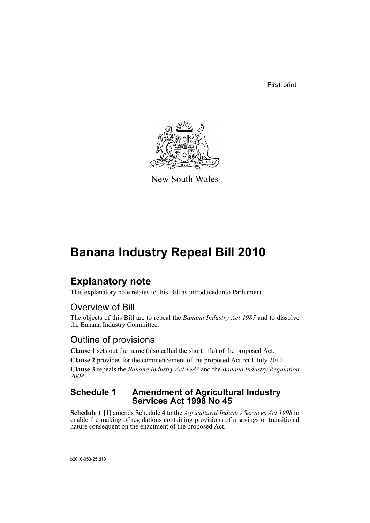First print



New South Wales

## **Banana Industry Repeal Bill 2010**

## **Explanatory note**

This explanatory note relates to this Bill as introduced into Parliament.

## Overview of Bill

The objects of this Bill are to repeal the *Banana Industry Act 1987* and to dissolve the Banana Industry Committee.

## Outline of provisions

**Clause 1** sets out the name (also called the short title) of the proposed Act.

**Clause 2** provides for the commencement of the proposed Act on 1 July 2010.

**Clause 3** repeals the *Banana Industry Act 1987* and the *Banana Industry Regulation 2008*.

### **Schedule 1 Amendment of Agricultural Industry Services Act 1998 No 45**

**Schedule 1 [1]** amends Schedule 4 to the *Agricultural Industry Services Act 1998* to enable the making of regulations containing provisions of a savings or transitional nature consequent on the enactment of the proposed Act.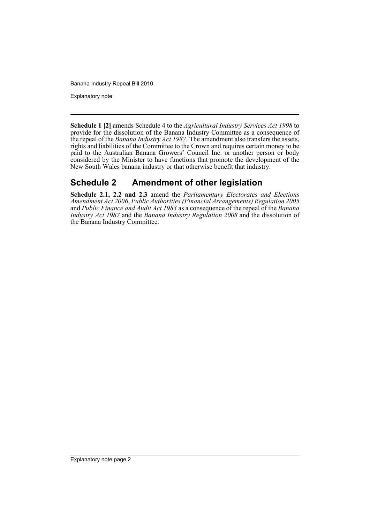Explanatory note

**Schedule 1 [2]** amends Schedule 4 to the *Agricultural Industry Services Act 1998* to provide for the dissolution of the Banana Industry Committee as a consequence of the repeal of the *Banana Industry Act 1987*. The amendment also transfers the assets, rights and liabilities of the Committee to the Crown and requires certain money to be paid to the Australian Banana Growers' Council Inc. or another person or body considered by the Minister to have functions that promote the development of the New South Wales banana industry or that otherwise benefit that industry.

### **Schedule 2 Amendment of other legislation**

**Schedule 2.1, 2.2 and 2.3** amend the *Parliamentary Electorates and Elections Amendment Act 2006*, *Public Authorities (Financial Arrangements) Regulation 2005* and *Public Finance and Audit Act 1983* as a consequence of the repeal of the *Banana Industry Act 1987* and the *Banana Industry Regulation 2008* and the dissolution of the Banana Industry Committee.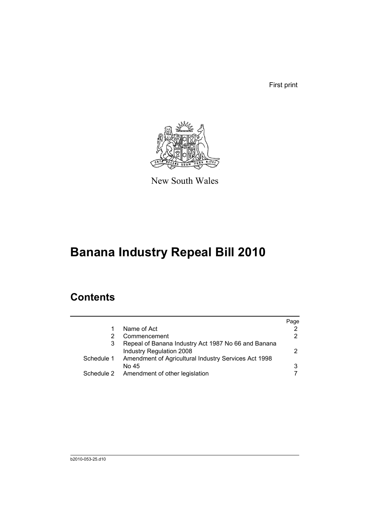First print



New South Wales

# **Banana Industry Repeal Bill 2010**

## **Contents**

|                                                     | Page                                                                                                         |
|-----------------------------------------------------|--------------------------------------------------------------------------------------------------------------|
| Name of Act                                         | 2                                                                                                            |
| Commencement                                        | 2                                                                                                            |
| Repeal of Banana Industry Act 1987 No 66 and Banana |                                                                                                              |
| Industry Regulation 2008                            | 2                                                                                                            |
|                                                     |                                                                                                              |
| No 45                                               | 3                                                                                                            |
|                                                     |                                                                                                              |
|                                                     | Schedule 1 Amendment of Agricultural Industry Services Act 1998<br>Schedule 2 Amendment of other legislation |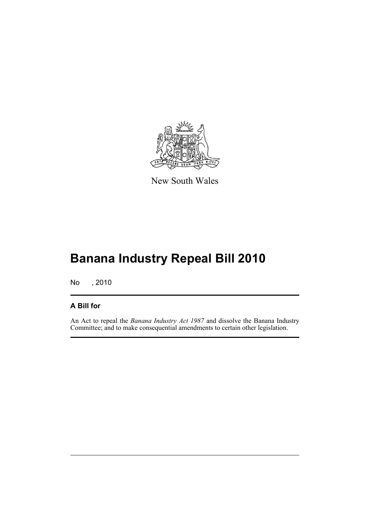

New South Wales

# **Banana Industry Repeal Bill 2010**

No , 2010

#### **A Bill for**

An Act to repeal the *Banana Industry Act 1987* and dissolve the Banana Industry Committee; and to make consequential amendments to certain other legislation.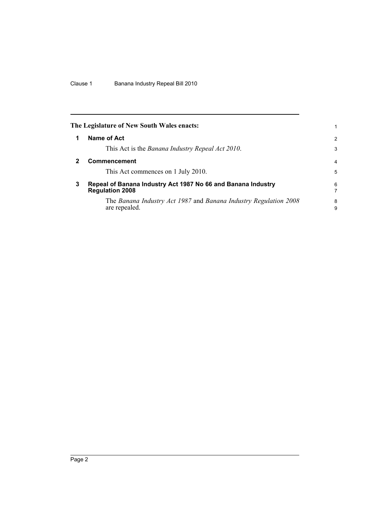<span id="page-5-2"></span><span id="page-5-1"></span><span id="page-5-0"></span>

|   | The Legislature of New South Wales enacts:                                             | 1      |  |
|---|----------------------------------------------------------------------------------------|--------|--|
|   | Name of Act                                                                            | 2      |  |
|   | This Act is the Banana Industry Repeal Act 2010.                                       | 3      |  |
|   | <b>Commencement</b>                                                                    | 4      |  |
|   | This Act commences on 1 July 2010.                                                     | 5      |  |
| 3 | Repeal of Banana Industry Act 1987 No 66 and Banana Industry<br><b>Regulation 2008</b> |        |  |
|   | The Banana Industry Act 1987 and Banana Industry Regulation 2008<br>are repealed.      | 8<br>9 |  |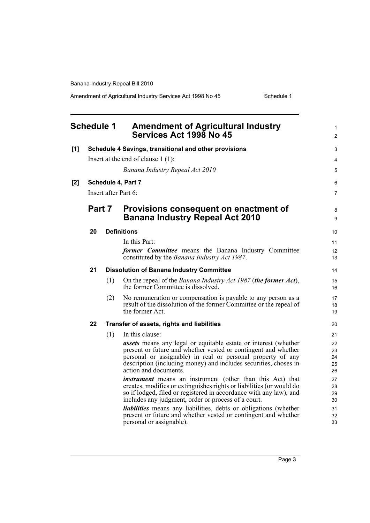Amendment of Agricultural Industry Services Act 1998 No 45 Schedule 1

<span id="page-6-0"></span>

|     | <b>Schedule 1</b> |     | <b>Amendment of Agricultural Industry</b><br>Services Act 1998 No 45                                                                                                                                                                                                                                 | $\mathbf{1}$<br>2          |
|-----|-------------------|-----|------------------------------------------------------------------------------------------------------------------------------------------------------------------------------------------------------------------------------------------------------------------------------------------------------|----------------------------|
| [1] |                   |     | Schedule 4 Savings, transitional and other provisions                                                                                                                                                                                                                                                | 3                          |
|     |                   |     | Insert at the end of clause $1(1)$ :                                                                                                                                                                                                                                                                 | $\overline{4}$             |
|     |                   |     | Banana Industry Repeal Act 2010                                                                                                                                                                                                                                                                      | 5                          |
| [2] |                   |     | Schedule 4, Part 7                                                                                                                                                                                                                                                                                   | 6                          |
|     |                   |     | Insert after Part 6:                                                                                                                                                                                                                                                                                 | $\overline{7}$             |
|     | Part 7            |     | Provisions consequent on enactment of<br><b>Banana Industry Repeal Act 2010</b>                                                                                                                                                                                                                      | 8<br>9                     |
|     |                   |     |                                                                                                                                                                                                                                                                                                      |                            |
|     | 20                |     | <b>Definitions</b>                                                                                                                                                                                                                                                                                   | 10                         |
|     |                   |     | In this Part:                                                                                                                                                                                                                                                                                        | 11                         |
|     |                   |     | former Committee means the Banana Industry Committee<br>constituted by the Banana Industry Act 1987.                                                                                                                                                                                                 | 12<br>13                   |
|     | 21                |     | <b>Dissolution of Banana Industry Committee</b>                                                                                                                                                                                                                                                      | 14                         |
|     |                   | (1) | On the repeal of the Banana Industry Act 1987 (the former Act),<br>the former Committee is dissolved.                                                                                                                                                                                                | 15<br>16                   |
|     |                   | (2) | No remuneration or compensation is payable to any person as a<br>result of the dissolution of the former Committee or the repeal of<br>the former Act.                                                                                                                                               | 17<br>18<br>19             |
|     | 22                |     | Transfer of assets, rights and liabilities                                                                                                                                                                                                                                                           | 20                         |
|     |                   | (1) | In this clause:                                                                                                                                                                                                                                                                                      | 21                         |
|     |                   |     | <i>assets</i> means any legal or equitable estate or interest (whether<br>present or future and whether vested or contingent and whether<br>personal or assignable) in real or personal property of any<br>description (including money) and includes securities, choses in<br>action and documents. | 22<br>23<br>24<br>25<br>26 |
|     |                   |     | <i>instrument</i> means an instrument (other than this Act) that<br>creates, modifies or extinguishes rights or liabilities (or would do<br>so if lodged, filed or registered in accordance with any law), and<br>includes any judgment, order or process of a court.                                | 27<br>28<br>29<br>30       |
|     |                   |     | <i>liabilities</i> means any liabilities, debts or obligations (whether<br>present or future and whether vested or contingent and whether<br>personal or assignable).                                                                                                                                | 31<br>32<br>33             |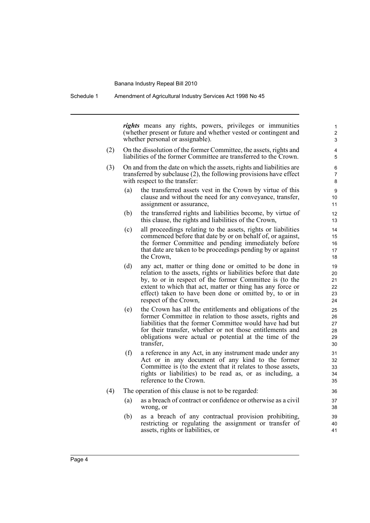Schedule 1 Amendment of Agricultural Industry Services Act 1998 No 45

*rights* means any rights, powers, privileges or immunities (whether present or future and whether vested or contingent and whether personal or assignable).

- (2) On the dissolution of the former Committee, the assets, rights and liabilities of the former Committee are transferred to the Crown.
- (3) On and from the date on which the assets, rights and liabilities are transferred by subclause (2), the following provisions have effect with respect to the transfer:
	- (a) the transferred assets vest in the Crown by virtue of this clause and without the need for any conveyance, transfer, assignment or assurance,
	- (b) the transferred rights and liabilities become, by virtue of this clause, the rights and liabilities of the Crown,
	- (c) all proceedings relating to the assets, rights or liabilities commenced before that date by or on behalf of, or against, the former Committee and pending immediately before that date are taken to be proceedings pending by or against the Crown,
	- (d) any act, matter or thing done or omitted to be done in relation to the assets, rights or liabilities before that date by, to or in respect of the former Committee is (to the extent to which that act, matter or thing has any force or effect) taken to have been done or omitted by, to or in respect of the Crown,
	- (e) the Crown has all the entitlements and obligations of the former Committee in relation to those assets, rights and liabilities that the former Committee would have had but for their transfer, whether or not those entitlements and obligations were actual or potential at the time of the transfer,
	- (f) a reference in any Act, in any instrument made under any Act or in any document of any kind to the former Committee is (to the extent that it relates to those assets, rights or liabilities) to be read as, or as including, a reference to the Crown.
- (4) The operation of this clause is not to be regarded:
	- (a) as a breach of contract or confidence or otherwise as a civil wrong, or
	- (b) as a breach of any contractual provision prohibiting, restricting or regulating the assignment or transfer of assets, rights or liabilities, or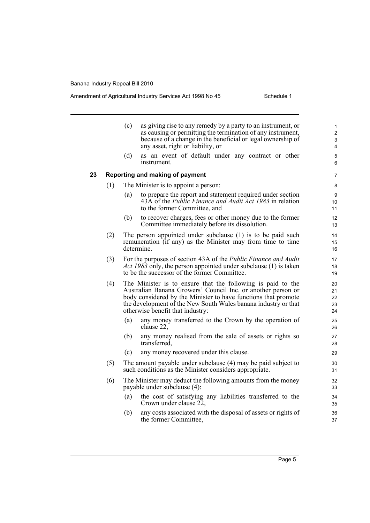#### Amendment of Agricultural Industry Services Act 1998 No 45 Schedule 1

|    |     | (c) | as giving rise to any remedy by a party to an instrument, or<br>as causing or permitting the termination of any instrument,<br>because of a change in the beneficial or legal ownership of<br>any asset, right or liability, or                                                                     | 1<br>$\overline{c}$<br>3<br>4 |
|----|-----|-----|-----------------------------------------------------------------------------------------------------------------------------------------------------------------------------------------------------------------------------------------------------------------------------------------------------|-------------------------------|
|    |     | (d) | as an event of default under any contract or other<br>instrument.                                                                                                                                                                                                                                   | 5<br>6                        |
| 23 |     |     | Reporting and making of payment                                                                                                                                                                                                                                                                     | 7                             |
|    | (1) |     | The Minister is to appoint a person:                                                                                                                                                                                                                                                                | 8                             |
|    |     | (a) | to prepare the report and statement required under section<br>43A of the <i>Public Finance and Audit Act 1983</i> in relation<br>to the former Committee, and                                                                                                                                       | 9<br>10<br>11                 |
|    |     | (b) | to recover charges, fees or other money due to the former<br>Committee immediately before its dissolution.                                                                                                                                                                                          | 12<br>13                      |
|    | (2) |     | The person appointed under subclause (1) is to be paid such<br>remuneration (if any) as the Minister may from time to time<br>determine.                                                                                                                                                            | 14<br>15<br>16                |
|    | (3) |     | For the purposes of section 43A of the <i>Public Finance and Audit</i><br>Act 1983 only, the person appointed under subclause (1) is taken<br>to be the successor of the former Committee.                                                                                                          | 17<br>18<br>19                |
|    | (4) |     | The Minister is to ensure that the following is paid to the<br>Australian Banana Growers' Council Inc. or another person or<br>body considered by the Minister to have functions that promote<br>the development of the New South Wales banana industry or that<br>otherwise benefit that industry: | 20<br>21<br>22<br>23<br>24    |
|    |     | (a) | any money transferred to the Crown by the operation of<br>clause 22,                                                                                                                                                                                                                                | 25<br>26                      |
|    |     | (b) | any money realised from the sale of assets or rights so<br>transferred,                                                                                                                                                                                                                             | 27<br>28                      |
|    |     | (c) | any money recovered under this clause.                                                                                                                                                                                                                                                              | 29                            |
|    | (5) |     | The amount payable under subclause (4) may be paid subject to<br>such conditions as the Minister considers appropriate.                                                                                                                                                                             | 30<br>31                      |
|    | (6) |     | The Minister may deduct the following amounts from the money<br>payable under subclause (4):                                                                                                                                                                                                        | 32<br>33                      |
|    |     | (a) | the cost of satisfying any liabilities transferred to the<br>Crown under clause 22,                                                                                                                                                                                                                 | 34<br>35                      |
|    |     | (b) | any costs associated with the disposal of assets or rights of<br>the former Committee,                                                                                                                                                                                                              | 36<br>37                      |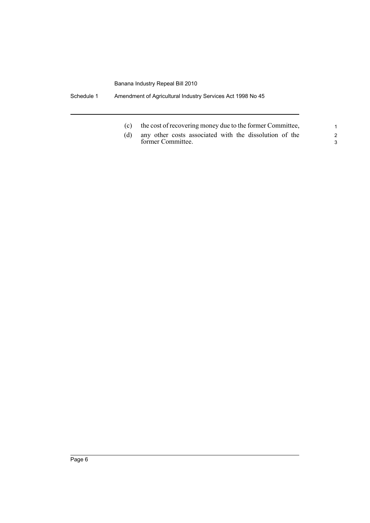Schedule 1 Amendment of Agricultural Industry Services Act 1998 No 45

- (c) the cost of recovering money due to the former Committee,
- (d) any other costs associated with the dissolution of the former Committee.